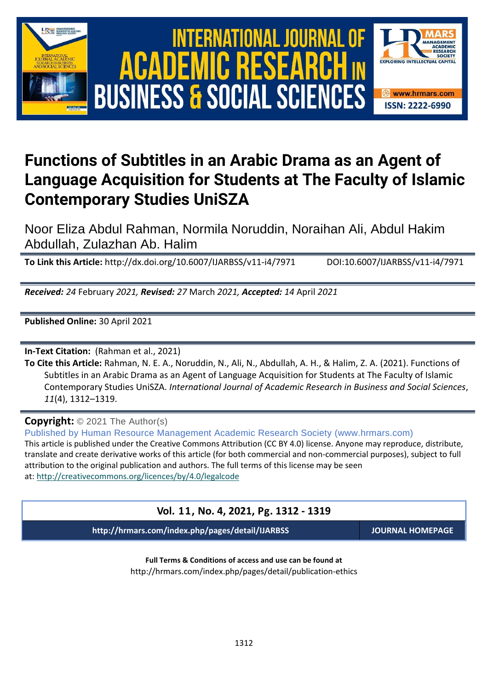



# **Functions of Subtitles in an Arabic Drama as an Agent of Language Acquisition for Students at The Faculty of Islamic Contemporary Studies UniSZA**

Noor Eliza Abdul Rahman, Normila Noruddin, Noraihan Ali, Abdul Hakim Abdullah, Zulazhan Ab. Halim

**To Link this Article:** http://dx.doi.org/10.6007/IJARBSS/v11-i4/7971 DOI:10.6007/IJARBSS/v11-i4/7971

*Received: 24* February *2021, Revised: 27* March *2021, Accepted: 14* April *2021*

**Published Online:** 30 April 2021

**In-Text Citation:** (Rahman et al., 2021)

**To Cite this Article:** Rahman, N. E. A., Noruddin, N., Ali, N., Abdullah, A. H., & Halim, Z. A. (2021). Functions of Subtitles in an Arabic Drama as an Agent of Language Acquisition for Students at The Faculty of Islamic Contemporary Studies UniSZA. *International Journal of Academic Research in Business and Social Sciences*, *11*(4), 1312–1319.

**Copyright:** © 2021 The Author(s)

Published by Human Resource Management Academic Research Society (www.hrmars.com)

This article is published under the Creative Commons Attribution (CC BY 4.0) license. Anyone may reproduce, distribute, translate and create derivative works of this article (for both commercial and non-commercial purposes), subject to full attribution to the original publication and authors. The full terms of this license may be seen at: <http://creativecommons.org/licences/by/4.0/legalcode>

# **Vol. 11, No. 4, 2021, Pg. 1312 - 1319**

**http://hrmars.com/index.php/pages/detail/IJARBSS JOURNAL HOMEPAGE**

**Full Terms & Conditions of access and use can be found at** http://hrmars.com/index.php/pages/detail/publication-ethics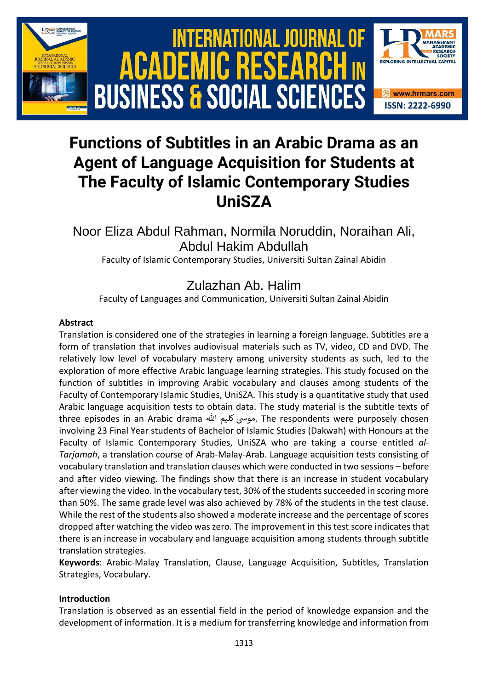

# **Functions of Subtitles in an Arabic Drama as an Agent of Language Acquisition for Students at The Faculty of Islamic Contemporary Studies UniSZA**

Noor Eliza Abdul Rahman, Normila Noruddin, Noraihan Ali, Abdul Hakim Abdullah

Faculty of Islamic Contemporary Studies, Universiti Sultan Zainal Abidin

# Zulazhan Ab. Halim

Faculty of Languages and Communication, Universiti Sultan Zainal Abidin

# **Abstract**

Translation is considered one of the strategies in learning a foreign language. Subtitles are a form of translation that involves audiovisual materials such as TV, video, CD and DVD. The relatively low level of vocabulary mastery among university students as such, led to the exploration of more effective Arabic language learning strategies. This study focused on the function of subtitles in improving Arabic vocabulary and clauses among students of the Faculty of Contemporary Islamic Studies, UniSZA. This study is a quantitative study that used Arabic language acquisition tests to obtain data. The study material is the subtitle texts of three episodes in an Arabic drama للا كليم موىس. The respondents were purposely chosen involving 23 Final Year students of Bachelor of Islamic Studies (Dakwah) with Honours at the Faculty of Islamic Contemporary Studies, UniSZA who are taking a course entitled *al-Tarjamah*, a translation course of Arab-Malay-Arab. Language acquisition tests consisting of vocabulary translation and translation clauses which were conducted in two sessions – before and after video viewing. The findings show that there is an increase in student vocabulary after viewing the video. In the vocabulary test, 30% of the students succeeded in scoring more than 50%. The same grade level was also achieved by 78% of the students in the test clause. While the rest of the students also showed a moderate increase and the percentage of scores dropped after watching the video was zero. The improvement in this test score indicates that there is an increase in vocabulary and language acquisition among students through subtitle translation strategies.

**Keywords**: Arabic-Malay Translation, Clause, Language Acquisition, Subtitles, Translation Strategies, Vocabulary.

#### **Introduction**

Translation is observed as an essential field in the period of knowledge expansion and the development of information. It is a medium for transferring knowledge and information from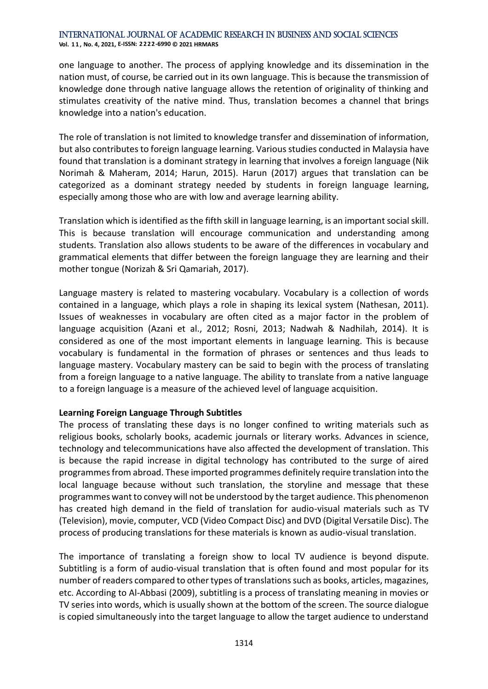# International Journal of Academic Research in Business and Social Sciences

**Vol. 1 1 , No. 4, 2021, E-ISSN: 2222-6990 © 2021 HRMARS**

one language to another. The process of applying knowledge and its dissemination in the nation must, of course, be carried out in its own language. This is because the transmission of knowledge done through native language allows the retention of originality of thinking and stimulates creativity of the native mind. Thus, translation becomes a channel that brings knowledge into a nation's education.

The role of translation is not limited to knowledge transfer and dissemination of information, but also contributes to foreign language learning. Various studies conducted in Malaysia have found that translation is a dominant strategy in learning that involves a foreign language (Nik Norimah & Maheram, 2014; Harun, 2015). Harun (2017) argues that translation can be categorized as a dominant strategy needed by students in foreign language learning, especially among those who are with low and average learning ability.

Translation which is identified as the fifth skill in language learning, is an important social skill. This is because translation will encourage communication and understanding among students. Translation also allows students to be aware of the differences in vocabulary and grammatical elements that differ between the foreign language they are learning and their mother tongue (Norizah & Sri Qamariah, 2017).

Language mastery is related to mastering vocabulary. Vocabulary is a collection of words contained in a language, which plays a role in shaping its lexical system (Nathesan, 2011). Issues of weaknesses in vocabulary are often cited as a major factor in the problem of language acquisition (Azani et al., 2012; Rosni, 2013; Nadwah & Nadhilah, 2014). It is considered as one of the most important elements in language learning. This is because vocabulary is fundamental in the formation of phrases or sentences and thus leads to language mastery. Vocabulary mastery can be said to begin with the process of translating from a foreign language to a native language. The ability to translate from a native language to a foreign language is a measure of the achieved level of language acquisition.

# **Learning Foreign Language Through Subtitles**

The process of translating these days is no longer confined to writing materials such as religious books, scholarly books, academic journals or literary works. Advances in science, technology and telecommunications have also affected the development of translation. This is because the rapid increase in digital technology has contributed to the surge of aired programmes from abroad. These imported programmes definitely require translation into the local language because without such translation, the storyline and message that these programmes want to convey will not be understood by the target audience. This phenomenon has created high demand in the field of translation for audio-visual materials such as TV (Television), movie, computer, VCD (Video Compact Disc) and DVD (Digital Versatile Disc). The process of producing translations for these materials is known as audio-visual translation.

The importance of translating a foreign show to local TV audience is beyond dispute. Subtitling is a form of audio-visual translation that is often found and most popular for its number of readers compared to other types of translations such as books, articles, magazines, etc. According to Al-Abbasi (2009), subtitling is a process of translating meaning in movies or TV series into words, which is usually shown at the bottom of the screen. The source dialogue is copied simultaneously into the target language to allow the target audience to understand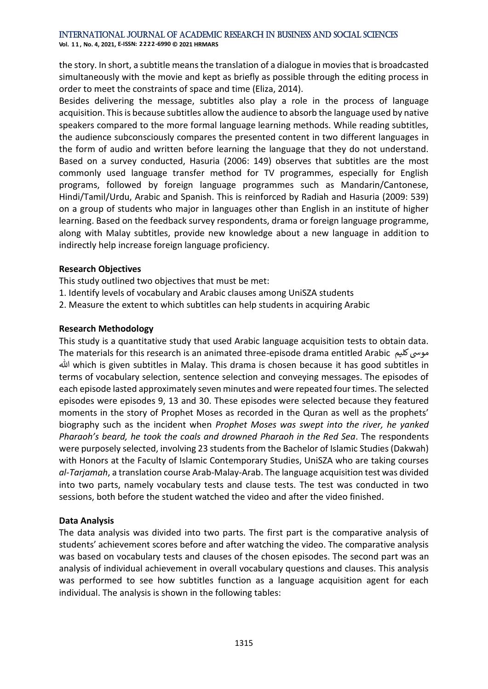#### International Journal of Academic Research in Business and Social Sciences

**Vol. 1 1 , No. 4, 2021, E-ISSN: 2222-6990 © 2021 HRMARS**

the story. In short, a subtitle means the translation of a dialogue in movies that is broadcasted simultaneously with the movie and kept as briefly as possible through the editing process in order to meet the constraints of space and time (Eliza, 2014).

Besides delivering the message, subtitles also play a role in the process of language acquisition. This is because subtitles allow the audience to absorb the language used by native speakers compared to the more formal language learning methods. While reading subtitles, the audience subconsciously compares the presented content in two different languages in the form of audio and written before learning the language that they do not understand. Based on a survey conducted, Hasuria (2006: 149) observes that subtitles are the most commonly used language transfer method for TV programmes, especially for English programs, followed by foreign language programmes such as Mandarin/Cantonese, Hindi/Tamil/Urdu, Arabic and Spanish. This is reinforced by Radiah and Hasuria (2009: 539) on a group of students who major in languages other than English in an institute of higher learning. Based on the feedback survey respondents, drama or foreign language programme, along with Malay subtitles, provide new knowledge about a new language in addition to indirectly help increase foreign language proficiency.

#### **Research Objectives**

This study outlined two objectives that must be met:

- 1. Identify levels of vocabulary and Arabic clauses among UniSZA students
- 2. Measure the extent to which subtitles can help students in acquiring Arabic

#### **Research Methodology**

This study is a quantitative study that used Arabic language acquisition tests to obtain data. The materials for this research is an animated three-episode drama entitled Arabic كليم موىس للا which is given subtitles in Malay. This drama is chosen because it has good subtitles in terms of vocabulary selection, sentence selection and conveying messages. The episodes of each episode lasted approximately seven minutes and were repeated four times. The selected episodes were episodes 9, 13 and 30. These episodes were selected because they featured moments in the story of Prophet Moses as recorded in the Quran as well as the prophets' biography such as the incident when *Prophet Moses was swept into the river, he yanked Pharaoh's beard, he took the coals and drowned Pharaoh in the Red Sea*. The respondents were purposely selected, involving 23 students from the Bachelor of Islamic Studies (Dakwah) with Honors at the Faculty of Islamic Contemporary Studies, UniSZA who are taking courses *al-Tarjamah*, a translation course Arab-Malay-Arab. The language acquisition test was divided into two parts, namely vocabulary tests and clause tests. The test was conducted in two sessions, both before the student watched the video and after the video finished.

#### **Data Analysis**

The data analysis was divided into two parts. The first part is the comparative analysis of students' achievement scores before and after watching the video. The comparative analysis was based on vocabulary tests and clauses of the chosen episodes. The second part was an analysis of individual achievement in overall vocabulary questions and clauses. This analysis was performed to see how subtitles function as a language acquisition agent for each individual. The analysis is shown in the following tables: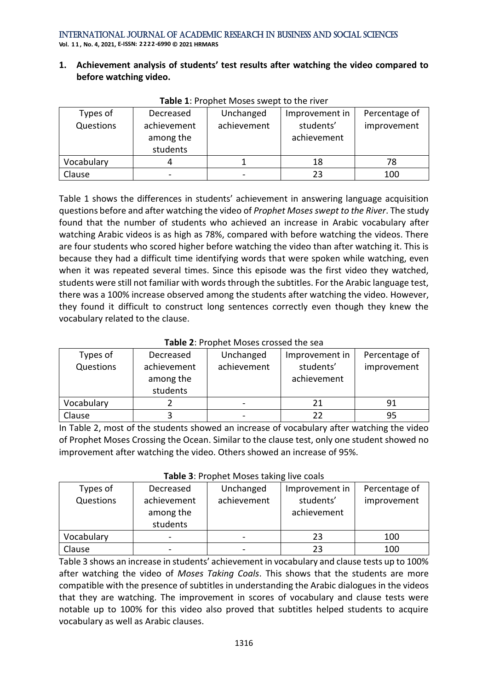International Journal of Academic Research in Business and Social Sciences **Vol. 1 1 , No. 4, 2021, E-ISSN: 2222-6990 © 2021 HRMARS**

**1. Achievement analysis of students' test results after watching the video compared to before watching video.**

| <b>Table 1</b> . Prophet Moses swept to the fiver |             |             |                |               |  |  |
|---------------------------------------------------|-------------|-------------|----------------|---------------|--|--|
| Types of                                          | Decreased   | Unchanged   | Improvement in | Percentage of |  |  |
| Questions                                         | achievement | achievement | students'      | improvement   |  |  |
|                                                   | among the   |             | achievement    |               |  |  |
|                                                   | students    |             |                |               |  |  |
| Vocabulary                                        |             |             | 18             | 78            |  |  |
| Clause                                            |             |             | 23             | 100           |  |  |

**Table 1**: Prophet Moses swept to the river

Table 1 shows the differences in students' achievement in answering language acquisition questions before and after watching the video of *Prophet Moses swept to the River*. The study found that the number of students who achieved an increase in Arabic vocabulary after watching Arabic videos is as high as 78%, compared with before watching the videos. There are four students who scored higher before watching the video than after watching it. This is because they had a difficult time identifying words that were spoken while watching, even when it was repeated several times. Since this episode was the first video they watched, students were still not familiar with words through the subtitles. For the Arabic language test, there was a 100% increase observed among the students after watching the video. However, they found it difficult to construct long sentences correctly even though they knew the vocabulary related to the clause.

| Types of<br>Questions | Decreased<br>achievement<br>among the<br>students | Unchanged<br>achievement | Improvement in<br>students'<br>achievement | Percentage of<br>improvement |
|-----------------------|---------------------------------------------------|--------------------------|--------------------------------------------|------------------------------|
| Vocabulary            |                                                   | $\overline{\phantom{0}}$ | 21                                         | 91                           |
| Clause                |                                                   | $\overline{\phantom{0}}$ | 22                                         | 95                           |

In Table 2, most of the students showed an increase of vocabulary after watching the video of Prophet Moses Crossing the Ocean. Similar to the clause test, only one student showed no improvement after watching the video. Others showed an increase of 95%.

| Types of   | Decreased   | Unchanged   | Improvement in | Percentage of |
|------------|-------------|-------------|----------------|---------------|
| Questions  | achievement | achievement | students'      | improvement   |
|            | among the   |             | achievement    |               |
|            | students    |             |                |               |
| Vocabulary | -           | -           | 23             | 100           |
| Clause     |             |             | 23             | 100           |

Table 3 shows an increase in students' achievement in vocabulary and clause tests up to 100% after watching the video of *Moses Taking Coals*. This shows that the students are more compatible with the presence of subtitles in understanding the Arabic dialogues in the videos that they are watching. The improvement in scores of vocabulary and clause tests were notable up to 100% for this video also proved that subtitles helped students to acquire vocabulary as well as Arabic clauses.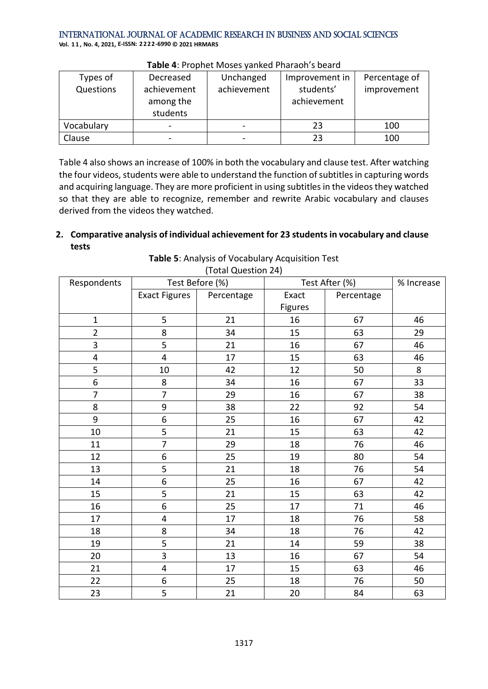| Types of<br>Questions | Decreased<br>achievement<br>among the<br>students | Unchanged<br>achievement | Improvement in<br>students'<br>achievement | Percentage of<br>improvement |
|-----------------------|---------------------------------------------------|--------------------------|--------------------------------------------|------------------------------|
| Vocabulary            |                                                   |                          | 23                                         | 100                          |
| Clause                |                                                   |                          | 23                                         | 100                          |

**Table 4**: Prophet Moses yanked Pharaoh's beard

Table 4 also shows an increase of 100% in both the vocabulary and clause test. After watching the four videos, students were able to understand the function of subtitles in capturing words and acquiring language. They are more proficient in using subtitles in the videos they watched so that they are able to recognize, remember and rewrite Arabic vocabulary and clauses derived from the videos they watched.

### **2. Comparative analysis of individual achievement for 23 students in vocabulary and clause tests**

| <b>Table 5: Analysis of Vocabulary Acquisition Test</b> |
|---------------------------------------------------------|
| (Total Question 24)                                     |

| Respondents             | Test Before (%)      |            | Test After (%) |            | % Increase |
|-------------------------|----------------------|------------|----------------|------------|------------|
|                         | <b>Exact Figures</b> | Percentage | Exact          | Percentage |            |
|                         |                      |            | Figures        |            |            |
| $\mathbf{1}$            | 5                    | 21         | 16             | 67         | 46         |
| $\overline{2}$          | 8                    | 34         | 15             | 63         | 29         |
| 3                       | 5                    | 21         | 16             | 67         | 46         |
| $\overline{\mathbf{4}}$ | 4                    | 17         | 15             | 63         | 46         |
| 5                       | 10                   | 42         | 12             | 50         | 8          |
| 6                       | 8                    | 34         | 16             | 67         | 33         |
| $\overline{7}$          | $\overline{7}$       | 29         | 16             | 67         | 38         |
| 8                       | 9                    | 38         | 22             | 92         | 54         |
| 9                       | 6                    | 25         | 16             | 67         | 42         |
| 10                      | 5                    | 21         | 15             | 63         | 42         |
| 11                      | 7                    | 29         | 18             | 76         | 46         |
| 12                      | 6                    | 25         | 19             | 80         | 54         |
| 13                      | 5                    | 21         | 18             | 76         | 54         |
| 14                      | 6                    | 25         | 16             | 67         | 42         |
| 15                      | 5                    | 21         | 15             | 63         | 42         |
| 16                      | 6                    | 25         | 17             | 71         | 46         |
| 17                      | 4                    | 17         | 18             | 76         | 58         |
| 18                      | 8                    | 34         | 18             | 76         | 42         |
| 19                      | 5                    | 21         | 14             | 59         | 38         |
| 20                      | 3                    | 13         | 16             | 67         | 54         |
| 21                      | 4                    | 17         | 15             | 63         | 46         |
| 22                      | 6                    | 25         | 18             | 76         | 50         |
| 23                      | 5                    | 21         | 20             | 84         | 63         |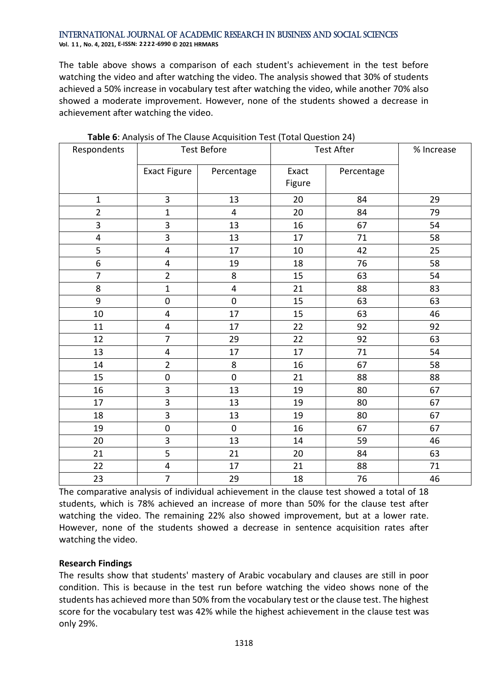#### International Journal of Academic Research in Business and Social Sciences **Vol. 1 1 , No. 4, 2021, E-ISSN: 2222-6990 © 2021 HRMARS**

The table above shows a comparison of each student's achievement in the test before watching the video and after watching the video. The analysis showed that 30% of students achieved a 50% increase in vocabulary test after watching the video, while another 70% also showed a moderate improvement. However, none of the students showed a decrease in achievement after watching the video.

| Respondents             |                         | <b>Test Before</b>      | <b>Test After</b> |            | % Increase |
|-------------------------|-------------------------|-------------------------|-------------------|------------|------------|
|                         | <b>Exact Figure</b>     | Percentage              | Exact<br>Figure   | Percentage |            |
| $\mathbf{1}$            | $\overline{3}$          | 13                      | 20                | 84         | 29         |
| $\overline{2}$          | $\mathbf{1}$            | $\overline{\mathbf{4}}$ | 20                | 84         | 79         |
| 3                       | 3                       | 13                      | 16                | 67         | 54         |
| $\overline{\mathbf{4}}$ | 3                       | 13                      | 17                | 71         | 58         |
| 5                       | $\overline{4}$          | 17                      | 10                | 42         | 25         |
| 6                       | $\overline{\mathbf{4}}$ | 19                      | 18                | 76         | 58         |
| $\overline{7}$          | $\overline{2}$          | $\bf 8$                 | 15                | 63         | 54         |
| 8                       | $\mathbf{1}$            | $\overline{4}$          | 21                | 88         | 83         |
| 9                       | $\pmb{0}$               | $\pmb{0}$               | 15                | 63         | 63         |
| 10                      | $\overline{\mathbf{4}}$ | 17                      | 15                | 63         | 46         |
| 11                      | $\overline{\mathbf{4}}$ | 17                      | 22                | 92         | 92         |
| 12                      | $\overline{7}$          | 29                      | 22                | 92         | 63         |
| 13                      | $\overline{\mathbf{4}}$ | 17                      | 17                | 71         | 54         |
| 14                      | $\overline{2}$          | $\bf 8$                 | 16                | 67         | 58         |
| 15                      | $\mathbf 0$             | $\mathbf 0$             | 21                | 88         | 88         |
| 16                      | 3                       | 13                      | 19                | 80         | 67         |
| 17                      | 3                       | 13                      | 19                | 80         | 67         |
| 18                      | 3                       | 13                      | 19                | 80         | 67         |
| 19                      | $\mathbf 0$             | $\mathbf 0$             | 16                | 67         | 67         |
| 20                      | 3                       | 13                      | 14                | 59         | 46         |
| 21                      | 5                       | 21                      | 20                | 84         | 63         |
| 22                      | $\overline{\mathbf{4}}$ | 17                      | 21                | 88         | $71\,$     |
| 23                      | $\overline{7}$          | 29                      | 18                | 76         | 46         |

# **Table 6**: Analysis of The Clause Acquisition Test (Total Question 24)

The comparative analysis of individual achievement in the clause test showed a total of 18 students, which is 78% achieved an increase of more than 50% for the clause test after watching the video. The remaining 22% also showed improvement, but at a lower rate. However, none of the students showed a decrease in sentence acquisition rates after watching the video.

# **Research Findings**

The results show that students' mastery of Arabic vocabulary and clauses are still in poor condition. This is because in the test run before watching the video shows none of the students has achieved more than 50% from the vocabulary test or the clause test. The highest score for the vocabulary test was 42% while the highest achievement in the clause test was only 29%.